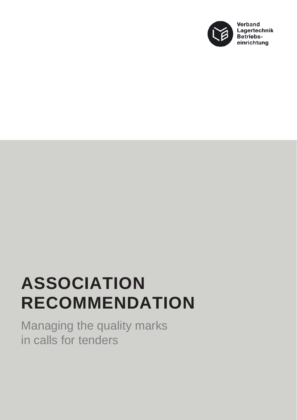

## **ASSOCIATION RECOMMENDATION**

Managing the quality marks in calls for tenders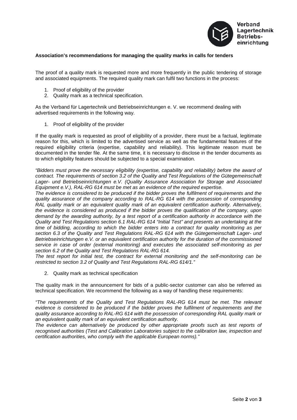

## **Association's recommendations for managing the quality marks in calls for tenders**

The proof of a quality mark is requested more and more frequently in the public tendering of storage and associated equipments. The required quality mark can fulfil two functions in the process:

- 1. Proof of eligibility of the provider
- 2. Quality mark as a technical specification.

As the Verband für Lagertechnik und Betriebseinrichtungen e. V. we recommend dealing with advertised requirements in the following way.

1. Proof of eligibility of the provider

If the quality mark is requested as proof of eligibility of a provider, there must be a factual, legitimate reason for this, which is limited to the advertised service as well as the fundamental features of the required eligibility criteria (expertise, capability and reliability). This legitimate reason must be documented in the tender file. At the same time, it is necessary to disclose in the tender documents as to which eligibility features should be subjected to a special examination.

*"Bidders must prove the necessary eligibility (expertise, capability and reliability) before the award of contract. The requirements of section 3.2 of the Quality and Test Regulations of the Gütegemeinschaft Lager- und Betriebseinrichtungen e.V. (Quality Assurance Association for Storage and Associated Equipment e.V.), RAL-RG 614 must be met as an evidence of the required expertise.*

*The evidence is considered to be produced if the bidder proves the fulfilment of requirements and the quality assurance of the company according to RAL-RG 614 with the possession of corresponding RAL quality mark or an equivalent quality mark of an equivalent certification authority. Alternatively, the evidence is considered as produced if the bidder proves the qualification of the company, upon demand by the awarding authority, by a test report of a certification authority in accordance with the Quality and Test Regulations section 6.1 RAL-RG 614 "Initial Test" and presents an undertaking at the time of bidding, according to which the bidder enters into a contract for quality monitoring as per section 6.3 of the Quality and Test Regulations RAL-RG 614 with the Gütegemeinschaft Lager- und Betriebseinrichtungen e.V. or an equivalent certification authority for the duration of the commissioned service in case of order (external monitoring) and executes the associated self-monitoring as per section 6.2 of the Quality and Test Regulations RAL-RG 614.*

*The test report for initial test, the contract for external monitoring and the self-monitoring can be restricted to section 3.2 of Quality and Test Regulations RAL-RG 614/1."*

2. Quality mark as technical specification

The quality mark in the announcement for bids of a public-sector customer can also be referred as technical specification. We recommend the following as a way of handling these requirements:

*"The requirements of the Quality and Test Regulations RAL-RG 614 must be met. The relevant evidence is considered to be produced if the bidder proves the fulfilment of requirements and the quality assurance according to RAL-RG 614 with the possession of corresponding RAL quality mark or an equivalent quality mark of an equivalent certification authority.*

*The evidence can alternatively be produced by other appropriate proofs such as test reports of recognised authorities (Test and Calibration Laboratories subject to the calibration law, inspection and certification authorities, who comply with the applicable European norms)."*